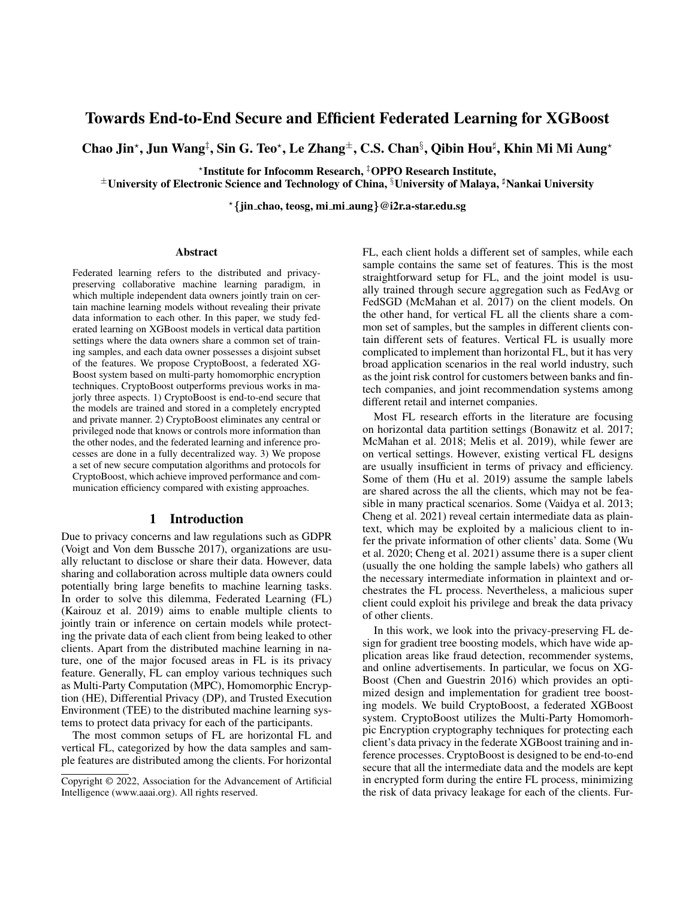# Towards End-to-End Secure and Efficient Federated Learning for XGBoost

Chao Jin\*, Jun Wang‡, Sin G. Teo\*, Le Zhang±, C.S. Chan§, Qibin Hou‡, Khin Mi Mi Aung\*

? Institute for Infocomm Research, ‡OPPO Research Institute,

 $\pm$ University of Electronic Science and Technology of China, <sup>§</sup>University of Malaya,  $\sharp$ Nankai University

?{jin chao, teosg, mi mi aung}@i2r.a-star.edu.sg

#### Abstract

Federated learning refers to the distributed and privacypreserving collaborative machine learning paradigm, in which multiple independent data owners jointly train on certain machine learning models without revealing their private data information to each other. In this paper, we study federated learning on XGBoost models in vertical data partition settings where the data owners share a common set of training samples, and each data owner possesses a disjoint subset of the features. We propose CryptoBoost, a federated XG-Boost system based on multi-party homomorphic encryption techniques. CryptoBoost outperforms previous works in majorly three aspects. 1) CryptoBoost is end-to-end secure that the models are trained and stored in a completely encrypted and private manner. 2) CryptoBoost eliminates any central or privileged node that knows or controls more information than the other nodes, and the federated learning and inference processes are done in a fully decentralized way. 3) We propose a set of new secure computation algorithms and protocols for CryptoBoost, which achieve improved performance and communication efficiency compared with existing approaches.

#### 1 Introduction

Due to privacy concerns and law regulations such as GDPR (Voigt and Von dem Bussche 2017), organizations are usually reluctant to disclose or share their data. However, data sharing and collaboration across multiple data owners could potentially bring large benefits to machine learning tasks. In order to solve this dilemma, Federated Learning (FL) (Kairouz et al. 2019) aims to enable multiple clients to jointly train or inference on certain models while protecting the private data of each client from being leaked to other clients. Apart from the distributed machine learning in nature, one of the major focused areas in FL is its privacy feature. Generally, FL can employ various techniques such as Multi-Party Computation (MPC), Homomorphic Encryption (HE), Differential Privacy (DP), and Trusted Execution Environment (TEE) to the distributed machine learning systems to protect data privacy for each of the participants.

The most common setups of FL are horizontal FL and vertical FL, categorized by how the data samples and sample features are distributed among the clients. For horizontal

FL, each client holds a different set of samples, while each sample contains the same set of features. This is the most straightforward setup for FL, and the joint model is usually trained through secure aggregation such as FedAvg or FedSGD (McMahan et al. 2017) on the client models. On the other hand, for vertical FL all the clients share a common set of samples, but the samples in different clients contain different sets of features. Vertical FL is usually more complicated to implement than horizontal FL, but it has very broad application scenarios in the real world industry, such as the joint risk control for customers between banks and fintech companies, and joint recommendation systems among different retail and internet companies.

Most FL research efforts in the literature are focusing on horizontal data partition settings (Bonawitz et al. 2017; McMahan et al. 2018; Melis et al. 2019), while fewer are on vertical settings. However, existing vertical FL designs are usually insufficient in terms of privacy and efficiency. Some of them (Hu et al. 2019) assume the sample labels are shared across the all the clients, which may not be feasible in many practical scenarios. Some (Vaidya et al. 2013; Cheng et al. 2021) reveal certain intermediate data as plaintext, which may be exploited by a malicious client to infer the private information of other clients' data. Some (Wu et al. 2020; Cheng et al. 2021) assume there is a super client (usually the one holding the sample labels) who gathers all the necessary intermediate information in plaintext and orchestrates the FL process. Nevertheless, a malicious super client could exploit his privilege and break the data privacy of other clients.

In this work, we look into the privacy-preserving FL design for gradient tree boosting models, which have wide application areas like fraud detection, recommender systems, and online advertisements. In particular, we focus on XG-Boost (Chen and Guestrin 2016) which provides an optimized design and implementation for gradient tree boosting models. We build CryptoBoost, a federated XGBoost system. CryptoBoost utilizes the Multi-Party Homomorhpic Encryption cryptography techniques for protecting each client's data privacy in the federate XGBoost training and inference processes. CryptoBoost is designed to be end-to-end secure that all the intermediate data and the models are kept in encrypted form during the entire FL process, minimizing the risk of data privacy leakage for each of the clients. Fur-

Copyright © 2022, Association for the Advancement of Artificial Intelligence (www.aaai.org). All rights reserved.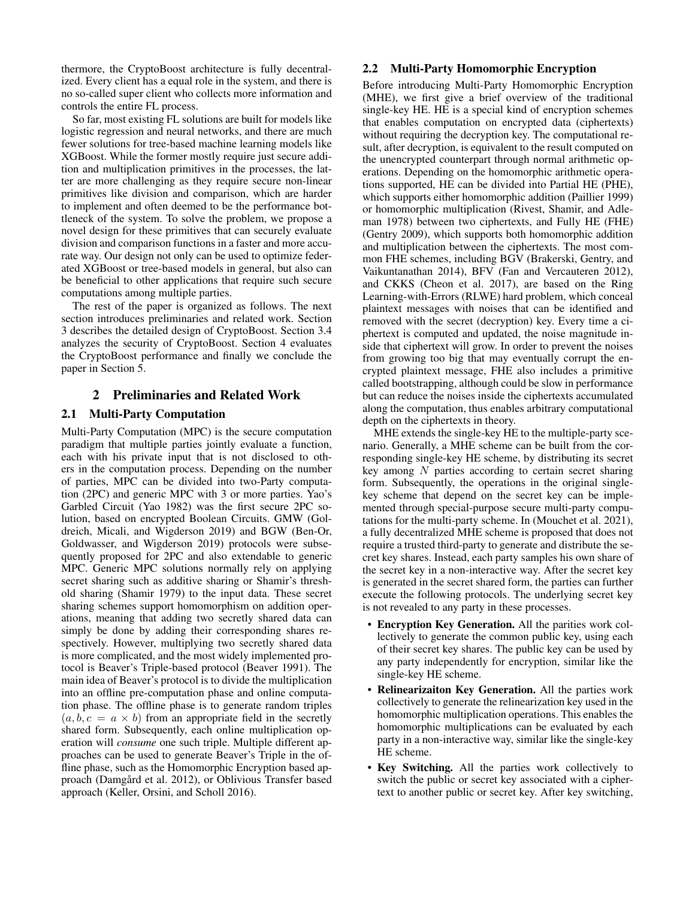thermore, the CryptoBoost architecture is fully decentralized. Every client has a equal role in the system, and there is no so-called super client who collects more information and controls the entire FL process.

So far, most existing FL solutions are built for models like logistic regression and neural networks, and there are much fewer solutions for tree-based machine learning models like XGBoost. While the former mostly require just secure addition and multiplication primitives in the processes, the latter are more challenging as they require secure non-linear primitives like division and comparison, which are harder to implement and often deemed to be the performance bottleneck of the system. To solve the problem, we propose a novel design for these primitives that can securely evaluate division and comparison functions in a faster and more accurate way. Our design not only can be used to optimize federated XGBoost or tree-based models in general, but also can be beneficial to other applications that require such secure computations among multiple parties.

The rest of the paper is organized as follows. The next section introduces preliminaries and related work. Section 3 describes the detailed design of CryptoBoost. Section 3.4 analyzes the security of CryptoBoost. Section 4 evaluates the CryptoBoost performance and finally we conclude the paper in Section 5.

# 2 Preliminaries and Related Work

# 2.1 Multi-Party Computation

Multi-Party Computation (MPC) is the secure computation paradigm that multiple parties jointly evaluate a function, each with his private input that is not disclosed to others in the computation process. Depending on the number of parties, MPC can be divided into two-Party computation (2PC) and generic MPC with 3 or more parties. Yao's Garbled Circuit (Yao 1982) was the first secure 2PC solution, based on encrypted Boolean Circuits. GMW (Goldreich, Micali, and Wigderson 2019) and BGW (Ben-Or, Goldwasser, and Wigderson 2019) protocols were subsequently proposed for 2PC and also extendable to generic MPC. Generic MPC solutions normally rely on applying secret sharing such as additive sharing or Shamir's threshold sharing (Shamir 1979) to the input data. These secret sharing schemes support homomorphism on addition operations, meaning that adding two secretly shared data can simply be done by adding their corresponding shares respectively. However, multiplying two secretly shared data is more complicated, and the most widely implemented protocol is Beaver's Triple-based protocol (Beaver 1991). The main idea of Beaver's protocol is to divide the multiplication into an offline pre-computation phase and online computation phase. The offline phase is to generate random triples  $(a, b, c = a \times b)$  from an appropriate field in the secretly shared form. Subsequently, each online multiplication operation will *consume* one such triple. Multiple different approaches can be used to generate Beaver's Triple in the offline phase, such as the Homomorphic Encryption based approach (Damgård et al. 2012), or Oblivious Transfer based approach (Keller, Orsini, and Scholl 2016).

## 2.2 Multi-Party Homomorphic Encryption

Before introducing Multi-Party Homomorphic Encryption (MHE), we first give a brief overview of the traditional single-key HE. HE is a special kind of encryption schemes that enables computation on encrypted data (ciphertexts) without requiring the decryption key. The computational result, after decryption, is equivalent to the result computed on the unencrypted counterpart through normal arithmetic operations. Depending on the homomorphic arithmetic operations supported, HE can be divided into Partial HE (PHE), which supports either homomorphic addition (Paillier 1999) or homomorphic multiplication (Rivest, Shamir, and Adleman 1978) between two ciphertexts, and Fully HE (FHE) (Gentry 2009), which supports both homomorphic addition and multiplication between the ciphertexts. The most common FHE schemes, including BGV (Brakerski, Gentry, and Vaikuntanathan 2014), BFV (Fan and Vercauteren 2012), and CKKS (Cheon et al. 2017), are based on the Ring Learning-with-Errors (RLWE) hard problem, which conceal plaintext messages with noises that can be identified and removed with the secret (decryption) key. Every time a ciphertext is computed and updated, the noise magnitude inside that ciphertext will grow. In order to prevent the noises from growing too big that may eventually corrupt the encrypted plaintext message, FHE also includes a primitive called bootstrapping, although could be slow in performance but can reduce the noises inside the ciphertexts accumulated along the computation, thus enables arbitrary computational depth on the ciphertexts in theory.

MHE extends the single-key HE to the multiple-party scenario. Generally, a MHE scheme can be built from the corresponding single-key HE scheme, by distributing its secret key among N parties according to certain secret sharing form. Subsequently, the operations in the original singlekey scheme that depend on the secret key can be implemented through special-purpose secure multi-party computations for the multi-party scheme. In (Mouchet et al. 2021), a fully decentralized MHE scheme is proposed that does not require a trusted third-party to generate and distribute the secret key shares. Instead, each party samples his own share of the secret key in a non-interactive way. After the secret key is generated in the secret shared form, the parties can further execute the following protocols. The underlying secret key is not revealed to any party in these processes.

- Encryption Key Generation. All the parities work collectively to generate the common public key, using each of their secret key shares. The public key can be used by any party independently for encryption, similar like the single-key HE scheme.
- Relinearizaiton Key Generation. All the parties work collectively to generate the relinearization key used in the homomorphic multiplication operations. This enables the homomorphic multiplications can be evaluated by each party in a non-interactive way, similar like the single-key HE scheme.
- Key Switching. All the parties work collectively to switch the public or secret key associated with a ciphertext to another public or secret key. After key switching,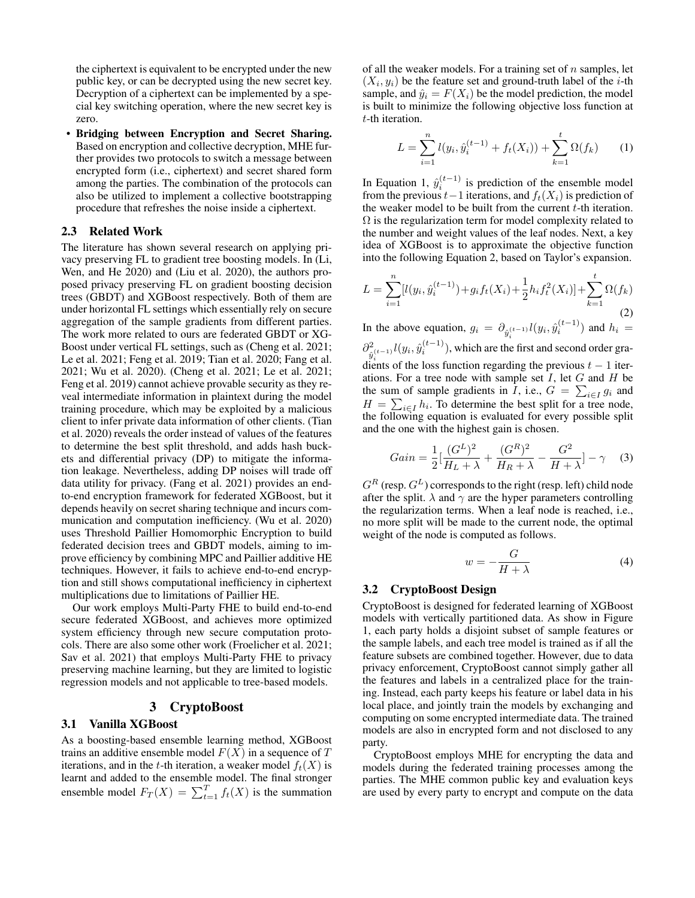the ciphertext is equivalent to be encrypted under the new public key, or can be decrypted using the new secret key. Decryption of a ciphertext can be implemented by a special key switching operation, where the new secret key is zero.

• Bridging between Encryption and Secret Sharing. Based on encryption and collective decryption, MHE further provides two protocols to switch a message between encrypted form (i.e., ciphertext) and secret shared form among the parties. The combination of the protocols can also be utilized to implement a collective bootstrapping procedure that refreshes the noise inside a ciphertext.

# 2.3 Related Work

The literature has shown several research on applying privacy preserving FL to gradient tree boosting models. In (Li, Wen, and He 2020) and (Liu et al. 2020), the authors proposed privacy preserving FL on gradient boosting decision trees (GBDT) and XGBoost respectively. Both of them are under horizontal FL settings which essentially rely on secure aggregation of the sample gradients from different parties. The work more related to ours are federated GBDT or XG-Boost under vertical FL settings, such as (Cheng et al. 2021; Le et al. 2021; Feng et al. 2019; Tian et al. 2020; Fang et al. 2021; Wu et al. 2020). (Cheng et al. 2021; Le et al. 2021; Feng et al. 2019) cannot achieve provable security as they reveal intermediate information in plaintext during the model training procedure, which may be exploited by a malicious client to infer private data information of other clients. (Tian et al. 2020) reveals the order instead of values of the features to determine the best split threshold, and adds hash buckets and differential privacy (DP) to mitigate the information leakage. Nevertheless, adding DP noises will trade off data utility for privacy. (Fang et al. 2021) provides an endto-end encryption framework for federated XGBoost, but it depends heavily on secret sharing technique and incurs communication and computation inefficiency. (Wu et al. 2020) uses Threshold Paillier Homomorphic Encryption to build federated decision trees and GBDT models, aiming to improve efficiency by combining MPC and Paillier additive HE techniques. However, it fails to achieve end-to-end encryption and still shows computational inefficiency in ciphertext multiplications due to limitations of Paillier HE.

Our work employs Multi-Party FHE to build end-to-end secure federated XGBoost, and achieves more optimized system efficiency through new secure computation protocols. There are also some other work (Froelicher et al. 2021; Sav et al. 2021) that employs Multi-Party FHE to privacy preserving machine learning, but they are limited to logistic regression models and not applicable to tree-based models.

## 3 CryptoBoost

## 3.1 Vanilla XGBoost

As a boosting-based ensemble learning method, XGBoost trains an additive ensemble model  $F(X)$  in a sequence of  $T$ iterations, and in the t-th iteration, a weaker model  $f_t(X)$  is learnt and added to the ensemble model. The final stronger ensemble model  $F_T(X) = \sum_{t=1}^T f_t(X)$  is the summation

of all the weaker models. For a training set of  $n$  samples, let  $(X_i, y_i)$  be the feature set and ground-truth label of the *i*-th sample, and  $\hat{y}_i = F(X_i)$  be the model prediction, the model is built to minimize the following objective loss function at t-th iteration.

$$
L = \sum_{i=1}^{n} l(y_i, \hat{y}_i^{(t-1)} + f_t(X_i)) + \sum_{k=1}^{t} \Omega(f_k)
$$
 (1)

In Equation 1,  $\hat{y}_i^{(t-1)}$  is prediction of the ensemble model from the previous  $t-1$  iterations, and  $f_t(X_i)$  is prediction of the weaker model to be built from the current  $t$ -th iteration.  $\Omega$  is the regularization term for model complexity related to the number and weight values of the leaf nodes. Next, a key idea of XGBoost is to approximate the objective function into the following Equation 2, based on Taylor's expansion.

$$
L = \sum_{i=1}^{n} [l(y_i, \hat{y}_i^{(t-1)}) + g_i f_t(X_i) + \frac{1}{2} h_i f_t^2(X_i)] + \sum_{k=1}^{t} \Omega(f_k)
$$
\n(2)

In the above equation,  $g_i = \partial_{\hat{y}_i^{(t-1)}} l(y_i, \hat{y}_i^{(t-1)})$  and  $h_i =$  $\partial_{\gamma(t-1)}^2 l(y_i, \hat{y}_i^{(t-1)})$ , which are the  $\hat{y}^{2}_{i}$ ( $y_{i}, \hat{y}^{(t-1)}_{i}$ ), which are the first and second order gradients of the loss function regarding the previous  $t - 1$  iterations. For a tree node with sample set  $I$ , let  $G$  and  $H$  be the sum of sample gradients in I, i.e.,  $G = \sum_{i \in I} g_i$  and  $H = \sum_{i \in I} h_i$ . To determine the best split for a tree node, the following equation is evaluated for every possible split and the one with the highest gain is chosen.

$$
Gain = \frac{1}{2} \left[ \frac{(G^L)^2}{H_L + \lambda} + \frac{(G^R)^2}{H_R + \lambda} - \frac{G^2}{H + \lambda} \right] - \gamma \quad (3)
$$

 $G^R$  (resp.  $G^L$ ) corresponds to the right (resp. left) child node after the split.  $\lambda$  and  $\gamma$  are the hyper parameters controlling the regularization terms. When a leaf node is reached, i.e., no more split will be made to the current node, the optimal weight of the node is computed as follows.

$$
w = -\frac{G}{H + \lambda} \tag{4}
$$

#### 3.2 CryptoBoost Design

CryptoBoost is designed for federated learning of XGBoost models with vertically partitioned data. As show in Figure 1, each party holds a disjoint subset of sample features or the sample labels, and each tree model is trained as if all the feature subsets are combined together. However, due to data privacy enforcement, CryptoBoost cannot simply gather all the features and labels in a centralized place for the training. Instead, each party keeps his feature or label data in his local place, and jointly train the models by exchanging and computing on some encrypted intermediate data. The trained models are also in encrypted form and not disclosed to any party.

CryptoBoost employs MHE for encrypting the data and models during the federated training processes among the parties. The MHE common public key and evaluation keys are used by every party to encrypt and compute on the data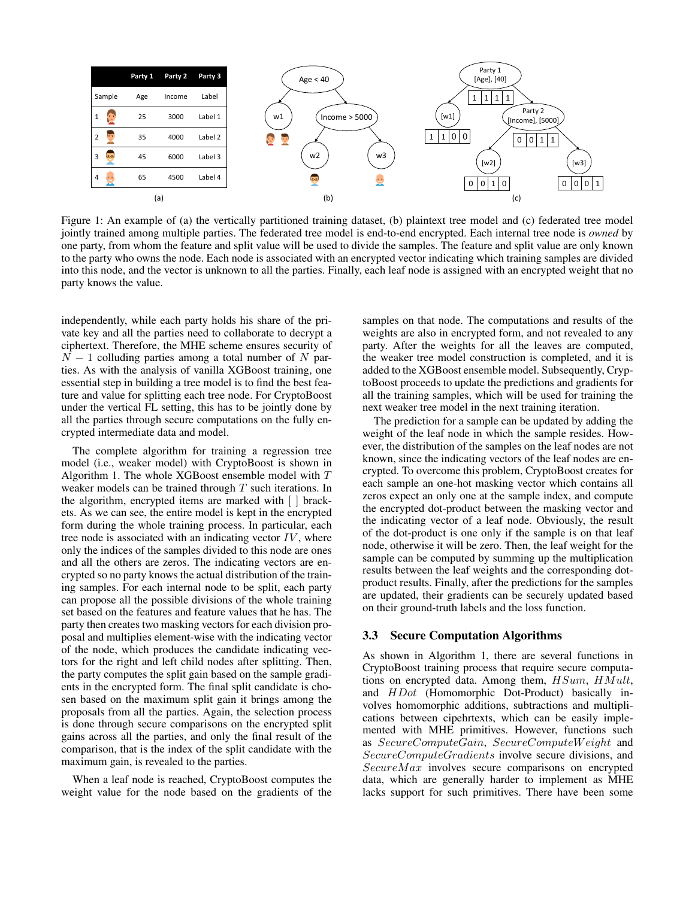

Figure 1: An example of (a) the vertically partitioned training dataset, (b) plaintext tree model and (c) federated tree model jointly trained among multiple parties. The federated tree model is end-to-end encrypted. Each internal tree node is *owned* by one party, from whom the feature and split value will be used to divide the samples. The feature and split value are only known to the party who owns the node. Each node is associated with an encrypted vector indicating which training samples are divided into this node, and the vector is unknown to all the parties. Finally, each leaf node is assigned with an encrypted weight that no party knows the value.

independently, while each party holds his share of the private key and all the parties need to collaborate to decrypt a ciphertext. Therefore, the MHE scheme ensures security of  $N-1$  colluding parties among a total number of N parties. As with the analysis of vanilla XGBoost training, one essential step in building a tree model is to find the best feature and value for splitting each tree node. For CryptoBoost under the vertical FL setting, this has to be jointly done by all the parties through secure computations on the fully encrypted intermediate data and model.

The complete algorithm for training a regression tree model (i.e., weaker model) with CryptoBoost is shown in Algorithm 1. The whole XGBoost ensemble model with T weaker models can be trained through T such iterations. In the algorithm, encrypted items are marked with [ ] brackets. As we can see, the entire model is kept in the encrypted form during the whole training process. In particular, each tree node is associated with an indicating vector  $IV$ , where only the indices of the samples divided to this node are ones and all the others are zeros. The indicating vectors are encrypted so no party knows the actual distribution of the training samples. For each internal node to be split, each party can propose all the possible divisions of the whole training set based on the features and feature values that he has. The party then creates two masking vectors for each division proposal and multiplies element-wise with the indicating vector of the node, which produces the candidate indicating vectors for the right and left child nodes after splitting. Then, the party computes the split gain based on the sample gradients in the encrypted form. The final split candidate is chosen based on the maximum split gain it brings among the proposals from all the parties. Again, the selection process is done through secure comparisons on the encrypted split gains across all the parties, and only the final result of the comparison, that is the index of the split candidate with the maximum gain, is revealed to the parties.

When a leaf node is reached, CryptoBoost computes the weight value for the node based on the gradients of the

samples on that node. The computations and results of the weights are also in encrypted form, and not revealed to any party. After the weights for all the leaves are computed, the weaker tree model construction is completed, and it is added to the XGBoost ensemble model. Subsequently, CryptoBoost proceeds to update the predictions and gradients for all the training samples, which will be used for training the next weaker tree model in the next training iteration.

The prediction for a sample can be updated by adding the weight of the leaf node in which the sample resides. However, the distribution of the samples on the leaf nodes are not known, since the indicating vectors of the leaf nodes are encrypted. To overcome this problem, CryptoBoost creates for each sample an one-hot masking vector which contains all zeros expect an only one at the sample index, and compute the encrypted dot-product between the masking vector and the indicating vector of a leaf node. Obviously, the result of the dot-product is one only if the sample is on that leaf node, otherwise it will be zero. Then, the leaf weight for the sample can be computed by summing up the multiplication results between the leaf weights and the corresponding dotproduct results. Finally, after the predictions for the samples are updated, their gradients can be securely updated based on their ground-truth labels and the loss function.

### 3.3 Secure Computation Algorithms

As shown in Algorithm 1, there are several functions in CryptoBoost training process that require secure computations on encrypted data. Among them,  $HSum$ ,  $HMult$ , and HDot (Homomorphic Dot-Product) basically involves homomorphic additions, subtractions and multiplications between cipehrtexts, which can be easily implemented with MHE primitives. However, functions such as SecureComputeGain, SecureComputeW eight and SecureComputeGradients involve secure divisions, and  $SecureMax$  involves secure comparisons on encrypted data, which are generally harder to implement as MHE lacks support for such primitives. There have been some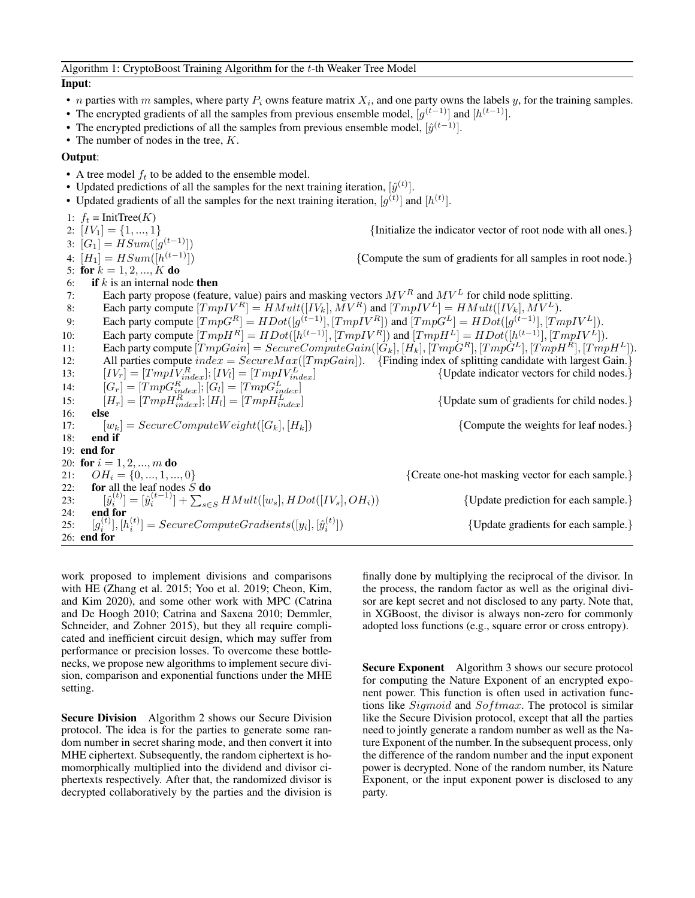### Input:

- *n* parties with *m* samples, where party  $P_i$  owns feature matrix  $X_i$ , and one party owns the labels  $y$ , for the training samples.
- The encrypted gradients of all the samples from previous ensemble model,  $[g^{(t-1)}]$  and  $[h^{(t-1)}]$ .
- The encrypted predictions of all the samples from previous ensemble model,  $[\hat{y}^{(t-1)}]$ .
- The number of nodes in the tree,  $K$ .

#### Output:

- A tree model  $f_t$  to be added to the ensemble model.
- Updated predictions of all the samples for the next training iteration,  $[\hat{y}^{(t)}]$ .
- Updated gradients of all the samples for the next training iteration,  $[g^{(t)}]$  and  $[h^{(t)}]$ .

1:  $f_t = \text{InitTree}(K)$ <br>2:  $[IV_1] = \{1, ..., 1\}$ {Initialize the indicator vector of root node with all ones.} 3:  $[G_1] = HSum([g^{(t-1)}])$ 4:  $[H_1] = HSum([h^{(t-1)}])$ {Compute the sum of gradients for all samples in root node.} 5: for  $k = 1, 2, ..., K$  do 6: if k is an internal node then 7: Each party propose (feature, value) pairs and masking vectors  $MV^R$  and  $MV^L$  for child node splitting. 8: Each party compute  $[TmpIV^R] = HMult([IV_k], \overline{M}V^R)$  and  $[TmpIV^L] = HMult([IV_k], \overline{M}V^L)$ . 9: Each party compute  $[TmpG^R] = HDot([g^{(t-1)}], [TmpIV^R])$  and  $[TmpG^L] = HDot([g^{(t-1)}], [TmpIV^L]).$ 10: Each party compute  $[TmpH^{R}] = HDot([h^{(t-1)}], [TmpIV^{R}])$  and  $[TmpH^{L}] = HDot([h^{(t-1)}], [TmpIV^{L}]).$ 11: Each party compute  $[TmpGain] = SecureComputeGain([\hat{G}_k], [\hat{H_k}], [Tmp\hat{G}^R], [Tmp\hat{G}^L], [Tmp\hat{H}^R], [Tmp\hat{H}^L]).$ 12: All parties compute  $index = SecureMax([TmpGain])$ . [Finding index of splitting candidate with largest Gain.] 13:  $\left[IV_r\right] = \left[Tmp\tilde{IV}_{index}^R\right]; \left[IV_l\right] = \left[TmpIV_{in}^L\right]$ {Update indicator vectors for child nodes.} 14:  $[G_r] = [TmpG_{index}^R]; [G_l] = [TmpG_{index}^L]$ 15:  $[H_r] = [TmpH_{index}^R]; [H_l] = [TmpH_{in}^L]$  $\{Update sum of gradients for child nodes.\}$ 16: else 17:  $[w_k] = SecureComputeWeight([G_k], [H_k])$  {Compute the weights for leaf nodes.} 18: end if 19: end for 20: for  $i = 1, 2, ..., m$  do 21:  $OH_i = \{0, ..., 1, ..., 0\}$  {Create one-hot masking vector for each sample.} 22: for all the leaf nodes  $S$  do 23:  $[\hat{y}_i^{(t)}] = [\hat{y}_i^{(t-1)}] + \sum_{s \in S} HMult([w_s], HDot([IV_s], OH_i))$  {Update prediction for each sample.} 24: end for  $25:$  $\begin{equation} \begin{aligned} \mathcal{L}^{(t)}_i], \left[h_i^{(t)}\right] = SecureComputeGradients([y_i], \left[\hat{y}_i^{(t)}\right] \end{aligned} \end{equation}$ ]) {Update gradients for each sample.} 26: end for

work proposed to implement divisions and comparisons with HE (Zhang et al. 2015; Yoo et al. 2019; Cheon, Kim, and Kim 2020), and some other work with MPC (Catrina and De Hoogh 2010; Catrina and Saxena 2010; Demmler, Schneider, and Zohner 2015), but they all require complicated and inefficient circuit design, which may suffer from performance or precision losses. To overcome these bottlenecks, we propose new algorithms to implement secure division, comparison and exponential functions under the MHE setting.

Secure Division Algorithm 2 shows our Secure Division protocol. The idea is for the parties to generate some random number in secret sharing mode, and then convert it into MHE ciphertext. Subsequently, the random ciphertext is homomorphically multiplied into the dividend and divisor ciphertexts respectively. After that, the randomized divisor is decrypted collaboratively by the parties and the division is

finally done by multiplying the reciprocal of the divisor. In the process, the random factor as well as the original divisor are kept secret and not disclosed to any party. Note that, in XGBoost, the divisor is always non-zero for commonly adopted loss functions (e.g., square error or cross entropy).

Secure Exponent Algorithm 3 shows our secure protocol for computing the Nature Exponent of an encrypted exponent power. This function is often used in activation functions like  $Sigmoid$  and  $Softmax$ . The protocol is similar like the Secure Division protocol, except that all the parties need to jointly generate a random number as well as the Nature Exponent of the number. In the subsequent process, only the difference of the random number and the input exponent power is decrypted. None of the random number, its Nature Exponent, or the input exponent power is disclosed to any party.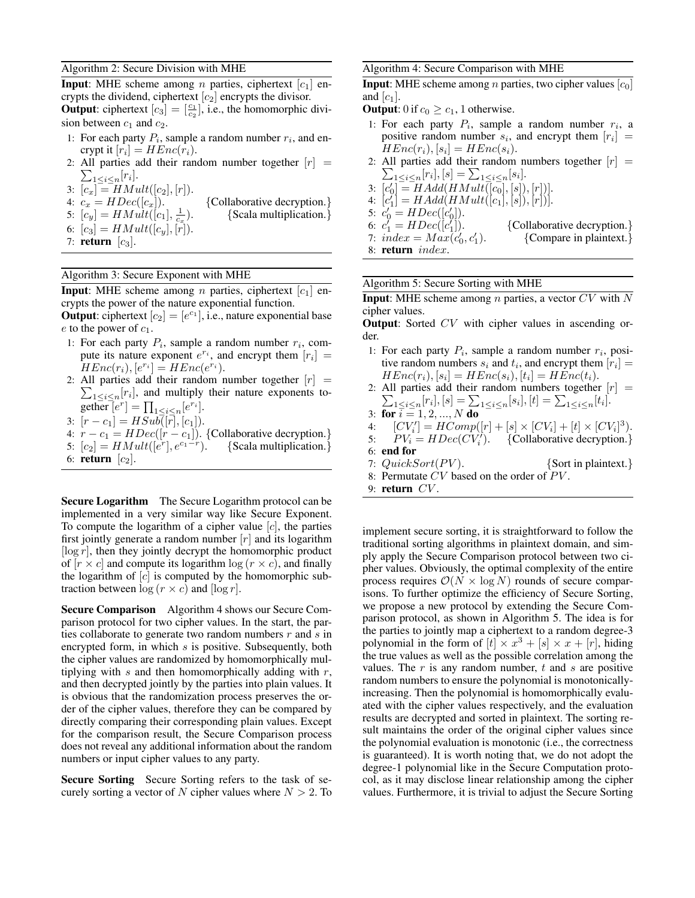#### Algorithm 2: Secure Division with MHE

**Input**: MHE scheme among *n* parties, ciphertext  $[c_1]$  encrypts the dividend, ciphertext  $[c_2]$  encrypts the divisor. **Output:** ciphertext  $[c_3] = \begin{bmatrix} \frac{c_1}{c_2} \end{bmatrix}$ , i.e., the homomorphic division between  $c_1$  and  $c_2$ .

- 1: For each party  $P_i$ , sample a random number  $r_i$ , and encrypt it  $[r_i] = HEnc(r_i)$ .
- 2: All parties add their random number together  $[r] =$  $\sum_{1\leq i\leq n}[r_i].$

3:  $[c_x] = HMult([c_2], [r]).$ 

- 4:  $c_x = HDec([c_x]).$  {Collaborative decryption.} 5:  $[c_y] = HMult([c_1], \frac{1}{c_x})$ ). {Scala multiplication.}
- 6:  $[c_3] = HMult([c_y], [r]).$
- 7: return  $[c_3]$ .

# Algorithm 3: Secure Exponent with MHE

**Input:** MHE scheme among *n* parties, ciphertext  $[c_1]$  encrypts the power of the nature exponential function.

**Output**: ciphertext  $[c_2] = [e^{c_1}]$ , i.e., nature exponential base  $e$  to the power of  $c_1$ .

- 1: For each party  $P_i$ , sample a random number  $r_i$ , compute its nature exponent  $e^{r_i}$ , and encrypt them  $[r_i] =$  $HEnc(r_i), [e^{r_i}] = HEnc(e^{r_i}).$
- 2: All parties add their random number together  $[r] =$  $\sum_{1 \leq i \leq n} [r_i]$ , and multiply their nature exponents together  $\overline{[e^r]} = \prod_{1 \leq i \leq n} [e^{r_i}].$
- 3:  $[r c_1] = HSub([r], [c_1]).$
- 4:  $r c_1 = HDec([r c_1])$ . {Collaborative decryption.}
- 5:  $[c_2] = HMult([\tilde{e}^r], e^{c_1-r})$ ). {Scala multiplication.}

6: return  $\lfloor c_2 \rfloor$ .

Secure Logarithm The Secure Logarithm protocol can be implemented in a very similar way like Secure Exponent. To compute the logarithm of a cipher value  $[c]$ , the parties first jointly generate a random number  $[r]$  and its logarithm  $\lceil \log r \rceil$ , then they jointly decrypt the homomorphic product of  $[r \times c]$  and compute its logarithm  $\log (r \times c)$ , and finally the logarithm of  $[c]$  is computed by the homomorphic subtraction between  $\log (r \times c)$  and  $[\log r]$ .

Secure Comparison Algorithm 4 shows our Secure Comparison protocol for two cipher values. In the start, the parties collaborate to generate two random numbers  $r$  and  $s$  in encrypted form, in which s is positive. Subsequently, both the cipher values are randomized by homomorphically multiplying with  $s$  and then homomorphically adding with  $r$ , and then decrypted jointly by the parties into plain values. It is obvious that the randomization process preserves the order of the cipher values, therefore they can be compared by directly comparing their corresponding plain values. Except for the comparison result, the Secure Comparison process does not reveal any additional information about the random numbers or input cipher values to any party.

Secure Sorting Secure Sorting refers to the task of securely sorting a vector of N cipher values where  $N > 2$ . To

#### Algorithm 4: Secure Comparison with MHE

**Input:** MHE scheme among *n* parties, two cipher values  $[c_0]$ and  $[c_1]$ .

- **Output**: 0 if  $c_0 \geq c_1$ , 1 otherwise.
- 1: For each party  $P_i$ , sample a random number  $r_i$ , a positive random number  $s_i$ , and encrypt them  $[r_i] =$  $HEnc(r_i), [s_i] = HEnc(s_i).$

2: All parties add their random numbers together  $[r] =$  $\sum_{1 \leq i \leq n} [r_i], [s] = \sum_{1 \leq i \leq n} [s_i].$ 3:  $[c'_0] = HAdd(HMult(\bar{[}c_0], [s]), [r])].$ 4:  $[c_1'] = HAdd(HMult([c_1],[s]),[r]))$ . 5:  $c'_0 = HDec([c'_0]).$ 6:  $c_1 = HDec([c_1])$ ]). {Collaborative decryption.} 7:  $index = Max(c'_0, c'_1)$ ). {Compare in plaintext.} 8: return index.

#### Algorithm 5: Secure Sorting with MHE

**Input:** MHE scheme among *n* parties, a vector  $CV$  with N cipher values.

**Output**: Sorted CV with cipher values in ascending order.

1: For each party  $P_i$ , sample a random number  $r_i$ , positive random numbers  $s_i$  and  $t_i$ , and encrypt them  $[r_i] =$  $HEnc(r_i), [s_i] = HEnc(s_i), [t_i] = HEnc(t_i).$ 

2: All parties add their random numbers together  $[r] =$  $\sum_{1 \leq i \leq n} [r_i], [s] = \sum_{1 \leq i \leq n} [s_i], [t] = \sum_{1 \leq i \leq n} [t_i].$ 

- 3: for  $\bar{i} = 1, 2, ..., N$  do
- 4:  $[CV_i'] = HComp([r] + [s] \times [CV_i] + [t] \times [CV_i]^3).$
- 5:  $PV_i = HDec(CV_i^{\prime}).$  {Collaborative decryption.}

6: end for

- 7:  $QuickSort(PV)$ . {Sort in plaintext.}
- 8: Permutate  $CV$  based on the order of  $PV$ .
- 9: return  $CV$ .

implement secure sorting, it is straightforward to follow the traditional sorting algorithms in plaintext domain, and simply apply the Secure Comparison protocol between two cipher values. Obviously, the optimal complexity of the entire process requires  $\mathcal{O}(N \times \log N)$  rounds of secure comparisons. To further optimize the efficiency of Secure Sorting, we propose a new protocol by extending the Secure Comparison protocol, as shown in Algorithm 5. The idea is for the parties to jointly map a ciphertext to a random degree-3 polynomial in the form of  $[t] \times x^3 + [s] \times x + [r]$ , hiding the true values as well as the possible correlation among the values. The  $r$  is any random number,  $t$  and  $s$  are positive random numbers to ensure the polynomial is monotonicallyincreasing. Then the polynomial is homomorphically evaluated with the cipher values respectively, and the evaluation results are decrypted and sorted in plaintext. The sorting result maintains the order of the original cipher values since the polynomial evaluation is monotonic (i.e., the correctness is guaranteed). It is worth noting that, we do not adopt the degree-1 polynomial like in the Secure Computation protocol, as it may disclose linear relationship among the cipher values. Furthermore, it is trivial to adjust the Secure Sorting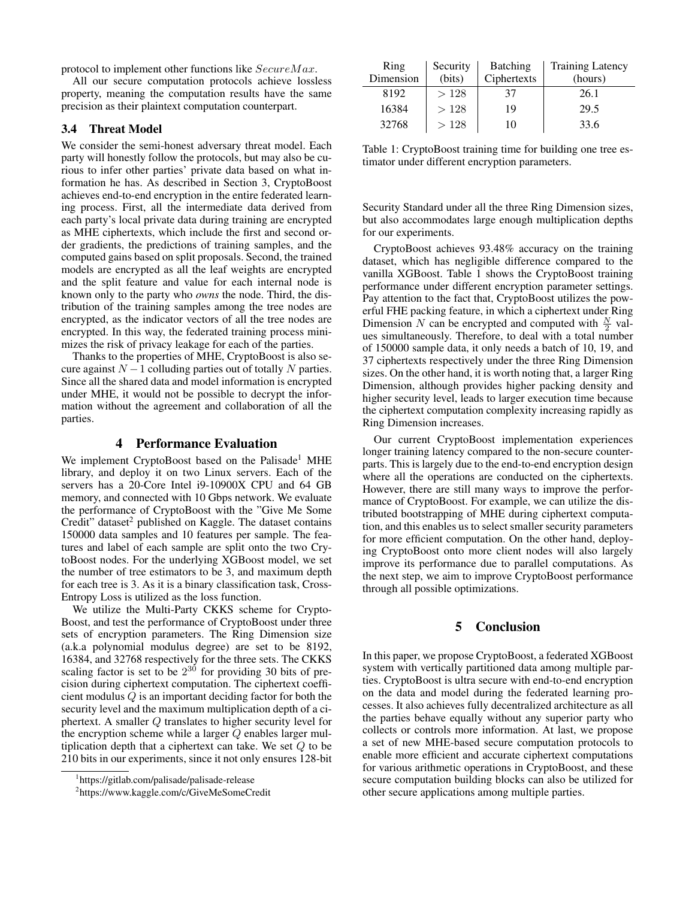protocol to implement other functions like  $SecureMax$ .

All our secure computation protocols achieve lossless property, meaning the computation results have the same precision as their plaintext computation counterpart.

# 3.4 Threat Model

We consider the semi-honest adversary threat model. Each party will honestly follow the protocols, but may also be curious to infer other parties' private data based on what information he has. As described in Section 3, CryptoBoost achieves end-to-end encryption in the entire federated learning process. First, all the intermediate data derived from each party's local private data during training are encrypted as MHE ciphertexts, which include the first and second order gradients, the predictions of training samples, and the computed gains based on split proposals. Second, the trained models are encrypted as all the leaf weights are encrypted and the split feature and value for each internal node is known only to the party who *owns* the node. Third, the distribution of the training samples among the tree nodes are encrypted, as the indicator vectors of all the tree nodes are encrypted. In this way, the federated training process minimizes the risk of privacy leakage for each of the parties.

Thanks to the properties of MHE, CryptoBoost is also secure against  $N - 1$  colluding parties out of totally N parties. Since all the shared data and model information is encrypted under MHE, it would not be possible to decrypt the information without the agreement and collaboration of all the parties.

### 4 Performance Evaluation

We implement CryptoBoost based on the Palisade<sup>1</sup> MHE library, and deploy it on two Linux servers. Each of the servers has a 20-Core Intel i9-10900X CPU and 64 GB memory, and connected with 10 Gbps network. We evaluate the performance of CryptoBoost with the "Give Me Some Credit" dataset $2$  published on Kaggle. The dataset contains 150000 data samples and 10 features per sample. The features and label of each sample are split onto the two CrytoBoost nodes. For the underlying XGBoost model, we set the number of tree estimators to be 3, and maximum depth for each tree is 3. As it is a binary classification task, Cross-Entropy Loss is utilized as the loss function.

We utilize the Multi-Party CKKS scheme for Crypto-Boost, and test the performance of CryptoBoost under three sets of encryption parameters. The Ring Dimension size (a.k.a polynomial modulus degree) are set to be 8192, 16384, and 32768 respectively for the three sets. The CKKS scaling factor is set to be  $2^{30}$  for providing 30 bits of precision during ciphertext computation. The ciphertext coefficient modulus Q is an important deciding factor for both the security level and the maximum multiplication depth of a ciphertext. A smaller Q translates to higher security level for the encryption scheme while a larger  $Q$  enables larger multiplication depth that a ciphertext can take. We set Q to be 210 bits in our experiments, since it not only ensures 128-bit

| Ring      | Security | <b>Batching</b> | <b>Training Latency</b> |
|-----------|----------|-----------------|-------------------------|
| Dimension | (bits)   | Ciphertexts     | (hours)                 |
| 8192      | >128     | 37              | 26.1                    |
| 16384     | >128     | 19              | 29.5                    |
| 32768     | >128     | 10              | 33.6                    |

Table 1: CryptoBoost training time for building one tree estimator under different encryption parameters.

Security Standard under all the three Ring Dimension sizes, but also accommodates large enough multiplication depths for our experiments.

CryptoBoost achieves 93.48% accuracy on the training dataset, which has negligible difference compared to the vanilla XGBoost. Table 1 shows the CryptoBoost training performance under different encryption parameter settings. Pay attention to the fact that, CryptoBoost utilizes the powerful FHE packing feature, in which a ciphertext under Ring Dimension N can be encrypted and computed with  $\frac{N}{2}$  values simultaneously. Therefore, to deal with a total number of 150000 sample data, it only needs a batch of 10, 19, and 37 ciphertexts respectively under the three Ring Dimension sizes. On the other hand, it is worth noting that, a larger Ring Dimension, although provides higher packing density and higher security level, leads to larger execution time because the ciphertext computation complexity increasing rapidly as Ring Dimension increases.

Our current CryptoBoost implementation experiences longer training latency compared to the non-secure counterparts. This is largely due to the end-to-end encryption design where all the operations are conducted on the ciphertexts. However, there are still many ways to improve the performance of CryptoBoost. For example, we can utilize the distributed bootstrapping of MHE during ciphertext computation, and this enables us to select smaller security parameters for more efficient computation. On the other hand, deploying CryptoBoost onto more client nodes will also largely improve its performance due to parallel computations. As the next step, we aim to improve CryptoBoost performance through all possible optimizations.

# 5 Conclusion

In this paper, we propose CryptoBoost, a federated XGBoost system with vertically partitioned data among multiple parties. CryptoBoost is ultra secure with end-to-end encryption on the data and model during the federated learning processes. It also achieves fully decentralized architecture as all the parties behave equally without any superior party who collects or controls more information. At last, we propose a set of new MHE-based secure computation protocols to enable more efficient and accurate ciphertext computations for various arithmetic operations in CryptoBoost, and these secure computation building blocks can also be utilized for other secure applications among multiple parties.

<sup>1</sup> https://gitlab.com/palisade/palisade-release

<sup>2</sup> https://www.kaggle.com/c/GiveMeSomeCredit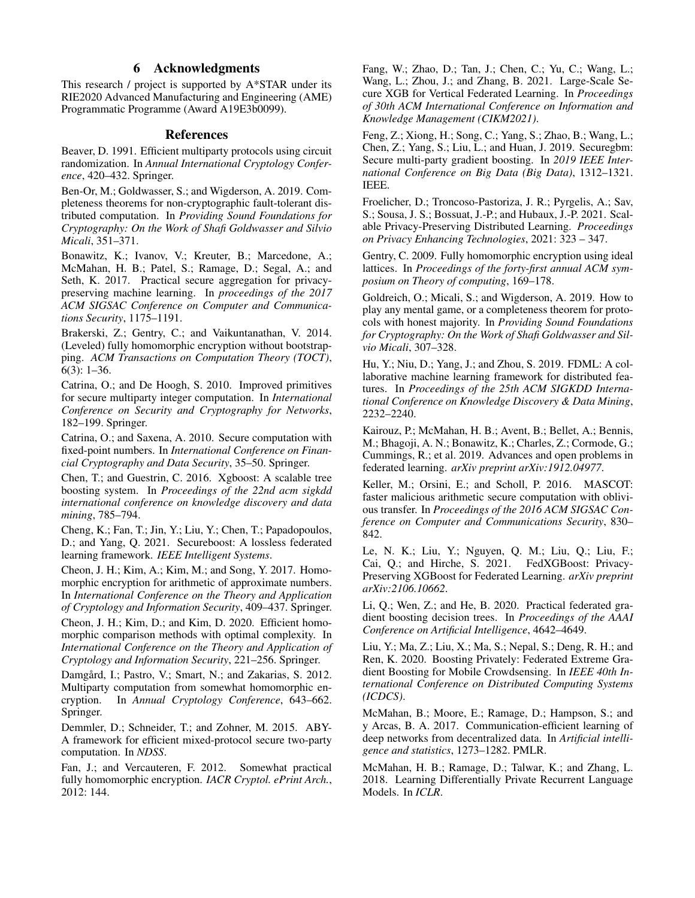# 6 Acknowledgments

This research / project is supported by A\*STAR under its RIE2020 Advanced Manufacturing and Engineering (AME) Programmatic Programme (Award A19E3b0099).

## References

Beaver, D. 1991. Efficient multiparty protocols using circuit randomization. In *Annual International Cryptology Conference*, 420–432. Springer.

Ben-Or, M.; Goldwasser, S.; and Wigderson, A. 2019. Completeness theorems for non-cryptographic fault-tolerant distributed computation. In *Providing Sound Foundations for Cryptography: On the Work of Shafi Goldwasser and Silvio Micali*, 351–371.

Bonawitz, K.; Ivanov, V.; Kreuter, B.; Marcedone, A.; McMahan, H. B.; Patel, S.; Ramage, D.; Segal, A.; and Seth, K. 2017. Practical secure aggregation for privacypreserving machine learning. In *proceedings of the 2017 ACM SIGSAC Conference on Computer and Communications Security*, 1175–1191.

Brakerski, Z.; Gentry, C.; and Vaikuntanathan, V. 2014. (Leveled) fully homomorphic encryption without bootstrapping. *ACM Transactions on Computation Theory (TOCT)*, 6(3): 1–36.

Catrina, O.; and De Hoogh, S. 2010. Improved primitives for secure multiparty integer computation. In *International Conference on Security and Cryptography for Networks*, 182–199. Springer.

Catrina, O.; and Saxena, A. 2010. Secure computation with fixed-point numbers. In *International Conference on Financial Cryptography and Data Security*, 35–50. Springer.

Chen, T.; and Guestrin, C. 2016. Xgboost: A scalable tree boosting system. In *Proceedings of the 22nd acm sigkdd international conference on knowledge discovery and data mining*, 785–794.

Cheng, K.; Fan, T.; Jin, Y.; Liu, Y.; Chen, T.; Papadopoulos, D.; and Yang, Q. 2021. Secureboost: A lossless federated learning framework. *IEEE Intelligent Systems*.

Cheon, J. H.; Kim, A.; Kim, M.; and Song, Y. 2017. Homomorphic encryption for arithmetic of approximate numbers. In *International Conference on the Theory and Application of Cryptology and Information Security*, 409–437. Springer.

Cheon, J. H.; Kim, D.; and Kim, D. 2020. Efficient homomorphic comparison methods with optimal complexity. In *International Conference on the Theory and Application of Cryptology and Information Security*, 221–256. Springer.

Damgård, I.; Pastro, V.; Smart, N.; and Zakarias, S. 2012. Multiparty computation from somewhat homomorphic encryption. In *Annual Cryptology Conference*, 643–662. Springer.

Demmler, D.; Schneider, T.; and Zohner, M. 2015. ABY-A framework for efficient mixed-protocol secure two-party computation. In *NDSS*.

Fan, J.; and Vercauteren, F. 2012. Somewhat practical fully homomorphic encryption. *IACR Cryptol. ePrint Arch.*, 2012: 144.

Fang, W.; Zhao, D.; Tan, J.; Chen, C.; Yu, C.; Wang, L.; Wang, L.; Zhou, J.; and Zhang, B. 2021. Large-Scale Secure XGB for Vertical Federated Learning. In *Proceedings of 30th ACM International Conference on Information and Knowledge Management (CIKM2021)*.

Feng, Z.; Xiong, H.; Song, C.; Yang, S.; Zhao, B.; Wang, L.; Chen, Z.; Yang, S.; Liu, L.; and Huan, J. 2019. Securegbm: Secure multi-party gradient boosting. In *2019 IEEE International Conference on Big Data (Big Data)*, 1312–1321. IEEE.

Froelicher, D.; Troncoso-Pastoriza, J. R.; Pyrgelis, A.; Sav, S.; Sousa, J. S.; Bossuat, J.-P.; and Hubaux, J.-P. 2021. Scalable Privacy-Preserving Distributed Learning. *Proceedings on Privacy Enhancing Technologies*, 2021: 323 – 347.

Gentry, C. 2009. Fully homomorphic encryption using ideal lattices. In *Proceedings of the forty-first annual ACM symposium on Theory of computing*, 169–178.

Goldreich, O.; Micali, S.; and Wigderson, A. 2019. How to play any mental game, or a completeness theorem for protocols with honest majority. In *Providing Sound Foundations for Cryptography: On the Work of Shafi Goldwasser and Silvio Micali*, 307–328.

Hu, Y.; Niu, D.; Yang, J.; and Zhou, S. 2019. FDML: A collaborative machine learning framework for distributed features. In *Proceedings of the 25th ACM SIGKDD International Conference on Knowledge Discovery & Data Mining*, 2232–2240.

Kairouz, P.; McMahan, H. B.; Avent, B.; Bellet, A.; Bennis, M.; Bhagoji, A. N.; Bonawitz, K.; Charles, Z.; Cormode, G.; Cummings, R.; et al. 2019. Advances and open problems in federated learning. *arXiv preprint arXiv:1912.04977*.

Keller, M.; Orsini, E.; and Scholl, P. 2016. MASCOT: faster malicious arithmetic secure computation with oblivious transfer. In *Proceedings of the 2016 ACM SIGSAC Conference on Computer and Communications Security*, 830– 842.

Le, N. K.; Liu, Y.; Nguyen, Q. M.; Liu, Q.; Liu, F.; Cai, Q.; and Hirche, S. 2021. FedXGBoost: Privacy-Preserving XGBoost for Federated Learning. *arXiv preprint arXiv:2106.10662*.

Li, Q.; Wen, Z.; and He, B. 2020. Practical federated gradient boosting decision trees. In *Proceedings of the AAAI Conference on Artificial Intelligence*, 4642–4649.

Liu, Y.; Ma, Z.; Liu, X.; Ma, S.; Nepal, S.; Deng, R. H.; and Ren, K. 2020. Boosting Privately: Federated Extreme Gradient Boosting for Mobile Crowdsensing. In *IEEE 40th International Conference on Distributed Computing Systems (ICDCS)*.

McMahan, B.; Moore, E.; Ramage, D.; Hampson, S.; and y Arcas, B. A. 2017. Communication-efficient learning of deep networks from decentralized data. In *Artificial intelligence and statistics*, 1273–1282. PMLR.

McMahan, H. B.; Ramage, D.; Talwar, K.; and Zhang, L. 2018. Learning Differentially Private Recurrent Language Models. In *ICLR*.